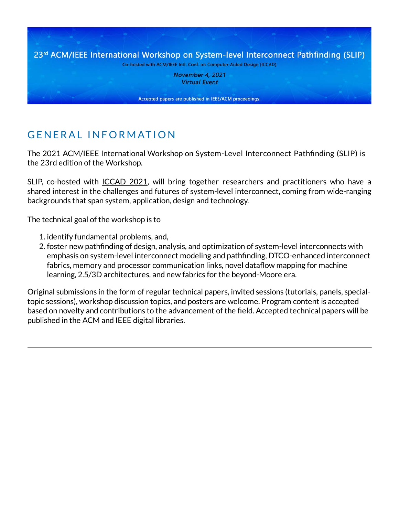23rd ACM/IEEE International Workshop on System-level Interconnect Pathfinding (SLIP) Co-hosted with ACM/IEEE Intl. Conf. on Computer-Aided Design (ICCAD) November 4, 2021

**Virtual Event** 

Accepted papers are published in IEEE/ACM proceedings.

# GENERAL INFORMATION

The 2021 ACM/IEEE International Workshop on System-Level Interconnect Path�nding (SLIP) is the 23rd edition of the Workshop.

SLIP, co-hosted with [ICCAD 2021,](https://iccad.com/index.php) will bring together researchers and practitioners who have a shared interest in the challenges and futures of system-level interconnect, coming from wide-ranging backgrounds that span system, application, design and technology.

The technical goal of the workshop is to

- 1. identify fundamental problems, and,
- 2. foster new pathfinding of design, analysis, and optimization of system-level interconnects with emphasis on system-level interconnect modeling and path�nding, DTCO-enhanced interconnect fabrics, memory and processor communication links, novel dataflow mapping for machine learning, 2.5/3D architectures, and new fabrics for the beyond-Moore era.

Original submissions in the form of regular technical papers, invited sessions (tutorials, panels, specialtopic sessions), workshop discussion topics, and posters are welcome. Program content is accepted based on novelty and contributions to the advancement of the field. Accepted technical papers will be published in the ACM and IEEE digital libraries.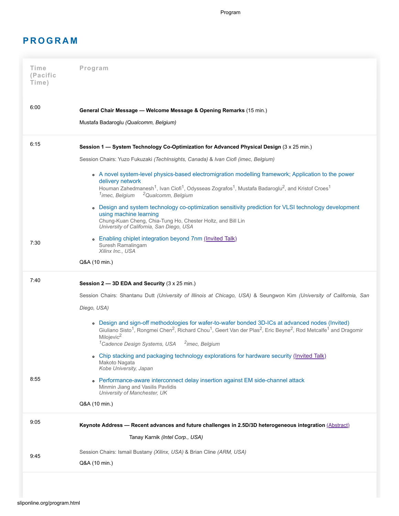Program

### **P R O G R A M**

| 6:00<br>General Chair Message - Welcome Message & Opening Remarks (15 min.)<br>Mustafa Badaroglu (Qualcomm, Belgium)<br>6:15<br>Session 1 - System Technology Co-Optimization for Advanced Physical Design (3 x 25 min.)<br>Session Chairs: Yuzo Fukuzaki (TechInsights, Canada) & Ivan Ciofi (imec, Belgium)<br>• A novel system-level physics-based electromigration modelling framework; Application to the power<br>delivery network<br>Houman Zahedmanesh <sup>1</sup> , Ivan Ciofi <sup>1</sup> , Odysseas Zografos <sup>1</sup> , Mustafa Badaroglu <sup>2</sup> , and Kristof Croes <sup>1</sup><br><sup>2</sup> Qualcomm, Belgium<br><sup>1</sup> imec, Belgium<br>• Design and system technology co-optimization sensitivity prediction for VLSI technology development<br>using machine learning<br>Chung-Kuan Cheng, Chia-Tung Ho, Chester Holtz, and Bill Lin<br>University of California, San Diego, USA<br>• Enabling chiplet integration beyond 7nm (Invited Talk)<br>7:30<br>Suresh Ramalingam<br>Xilinx Inc., USA<br>Q&A (10 min.)<br>7:40<br>Session 2 - 3D EDA and Security (3 x 25 min.)<br>Session Chairs: Shantanu Dutt (University of Illinois at Chicago, USA) & Seungwon Kim (University of California, San<br>Diego, USA)<br>• Design and sign-off methodologies for wafer-to-wafer bonded 3D-ICs at advanced nodes (Invited)<br>Giuliano Sisto <sup>1</sup> , Rongmei Chen <sup>2</sup> , Richard Chou <sup>1</sup> , Geert Van der Plas <sup>2</sup> , Eric Beyne <sup>2</sup> , Rod Metcalfe <sup>1</sup> and Dragomir<br>Milojevic <sup>2</sup><br><sup>1</sup> Cadence Design Systems, USA<br><sup>2</sup> imec, Belgium<br>• Chip stacking and packaging technology explorations for hardware security (Invited Talk) |  |
|--------------------------------------------------------------------------------------------------------------------------------------------------------------------------------------------------------------------------------------------------------------------------------------------------------------------------------------------------------------------------------------------------------------------------------------------------------------------------------------------------------------------------------------------------------------------------------------------------------------------------------------------------------------------------------------------------------------------------------------------------------------------------------------------------------------------------------------------------------------------------------------------------------------------------------------------------------------------------------------------------------------------------------------------------------------------------------------------------------------------------------------------------------------------------------------------------------------------------------------------------------------------------------------------------------------------------------------------------------------------------------------------------------------------------------------------------------------------------------------------------------------------------------------------------------------------------------------------------------------------------------------------------------------------------------------------------------------------------------------------------------|--|
|                                                                                                                                                                                                                                                                                                                                                                                                                                                                                                                                                                                                                                                                                                                                                                                                                                                                                                                                                                                                                                                                                                                                                                                                                                                                                                                                                                                                                                                                                                                                                                                                                                                                                                                                                        |  |
|                                                                                                                                                                                                                                                                                                                                                                                                                                                                                                                                                                                                                                                                                                                                                                                                                                                                                                                                                                                                                                                                                                                                                                                                                                                                                                                                                                                                                                                                                                                                                                                                                                                                                                                                                        |  |
|                                                                                                                                                                                                                                                                                                                                                                                                                                                                                                                                                                                                                                                                                                                                                                                                                                                                                                                                                                                                                                                                                                                                                                                                                                                                                                                                                                                                                                                                                                                                                                                                                                                                                                                                                        |  |
|                                                                                                                                                                                                                                                                                                                                                                                                                                                                                                                                                                                                                                                                                                                                                                                                                                                                                                                                                                                                                                                                                                                                                                                                                                                                                                                                                                                                                                                                                                                                                                                                                                                                                                                                                        |  |
|                                                                                                                                                                                                                                                                                                                                                                                                                                                                                                                                                                                                                                                                                                                                                                                                                                                                                                                                                                                                                                                                                                                                                                                                                                                                                                                                                                                                                                                                                                                                                                                                                                                                                                                                                        |  |
|                                                                                                                                                                                                                                                                                                                                                                                                                                                                                                                                                                                                                                                                                                                                                                                                                                                                                                                                                                                                                                                                                                                                                                                                                                                                                                                                                                                                                                                                                                                                                                                                                                                                                                                                                        |  |
|                                                                                                                                                                                                                                                                                                                                                                                                                                                                                                                                                                                                                                                                                                                                                                                                                                                                                                                                                                                                                                                                                                                                                                                                                                                                                                                                                                                                                                                                                                                                                                                                                                                                                                                                                        |  |
|                                                                                                                                                                                                                                                                                                                                                                                                                                                                                                                                                                                                                                                                                                                                                                                                                                                                                                                                                                                                                                                                                                                                                                                                                                                                                                                                                                                                                                                                                                                                                                                                                                                                                                                                                        |  |
|                                                                                                                                                                                                                                                                                                                                                                                                                                                                                                                                                                                                                                                                                                                                                                                                                                                                                                                                                                                                                                                                                                                                                                                                                                                                                                                                                                                                                                                                                                                                                                                                                                                                                                                                                        |  |
|                                                                                                                                                                                                                                                                                                                                                                                                                                                                                                                                                                                                                                                                                                                                                                                                                                                                                                                                                                                                                                                                                                                                                                                                                                                                                                                                                                                                                                                                                                                                                                                                                                                                                                                                                        |  |
|                                                                                                                                                                                                                                                                                                                                                                                                                                                                                                                                                                                                                                                                                                                                                                                                                                                                                                                                                                                                                                                                                                                                                                                                                                                                                                                                                                                                                                                                                                                                                                                                                                                                                                                                                        |  |
|                                                                                                                                                                                                                                                                                                                                                                                                                                                                                                                                                                                                                                                                                                                                                                                                                                                                                                                                                                                                                                                                                                                                                                                                                                                                                                                                                                                                                                                                                                                                                                                                                                                                                                                                                        |  |
|                                                                                                                                                                                                                                                                                                                                                                                                                                                                                                                                                                                                                                                                                                                                                                                                                                                                                                                                                                                                                                                                                                                                                                                                                                                                                                                                                                                                                                                                                                                                                                                                                                                                                                                                                        |  |
|                                                                                                                                                                                                                                                                                                                                                                                                                                                                                                                                                                                                                                                                                                                                                                                                                                                                                                                                                                                                                                                                                                                                                                                                                                                                                                                                                                                                                                                                                                                                                                                                                                                                                                                                                        |  |
| Makoto Nagata<br>Kobe University, Japan                                                                                                                                                                                                                                                                                                                                                                                                                                                                                                                                                                                                                                                                                                                                                                                                                                                                                                                                                                                                                                                                                                                                                                                                                                                                                                                                                                                                                                                                                                                                                                                                                                                                                                                |  |
| 8:55<br>• Performance-aware interconnect delay insertion against EM side-channel attack<br>Minmin Jiang and Vasilis Pavlidis<br>University of Manchester, UK                                                                                                                                                                                                                                                                                                                                                                                                                                                                                                                                                                                                                                                                                                                                                                                                                                                                                                                                                                                                                                                                                                                                                                                                                                                                                                                                                                                                                                                                                                                                                                                           |  |
| Q&A (10 min.)                                                                                                                                                                                                                                                                                                                                                                                                                                                                                                                                                                                                                                                                                                                                                                                                                                                                                                                                                                                                                                                                                                                                                                                                                                                                                                                                                                                                                                                                                                                                                                                                                                                                                                                                          |  |
| 9:05<br>Keynote Address - Recent advances and future challenges in 2.5D/3D heterogeneous integration (Abstract)                                                                                                                                                                                                                                                                                                                                                                                                                                                                                                                                                                                                                                                                                                                                                                                                                                                                                                                                                                                                                                                                                                                                                                                                                                                                                                                                                                                                                                                                                                                                                                                                                                        |  |
| Tanay Karnik (Intel Corp., USA)                                                                                                                                                                                                                                                                                                                                                                                                                                                                                                                                                                                                                                                                                                                                                                                                                                                                                                                                                                                                                                                                                                                                                                                                                                                                                                                                                                                                                                                                                                                                                                                                                                                                                                                        |  |
| Session Chairs: Ismail Bustany (Xilinx, USA) & Brian Cline (ARM, USA)<br>9:45                                                                                                                                                                                                                                                                                                                                                                                                                                                                                                                                                                                                                                                                                                                                                                                                                                                                                                                                                                                                                                                                                                                                                                                                                                                                                                                                                                                                                                                                                                                                                                                                                                                                          |  |
| Q&A (10 min.)                                                                                                                                                                                                                                                                                                                                                                                                                                                                                                                                                                                                                                                                                                                                                                                                                                                                                                                                                                                                                                                                                                                                                                                                                                                                                                                                                                                                                                                                                                                                                                                                                                                                                                                                          |  |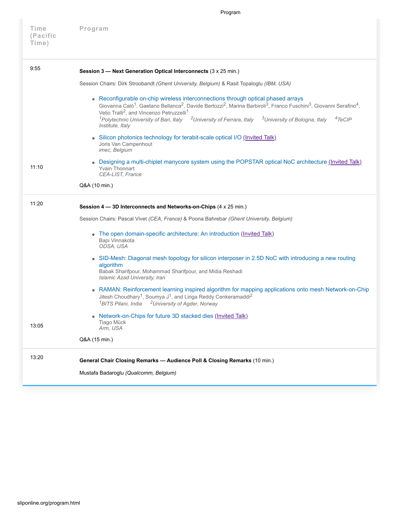| Time<br>(Pacific<br>Time) | Program                                                                                                                                                                                                                                                                                                                                                                                                                                                                                                                               |
|---------------------------|---------------------------------------------------------------------------------------------------------------------------------------------------------------------------------------------------------------------------------------------------------------------------------------------------------------------------------------------------------------------------------------------------------------------------------------------------------------------------------------------------------------------------------------|
| 9:55                      | Session 3 - Next Generation Optical Interconnects (3 x 25 min.)                                                                                                                                                                                                                                                                                                                                                                                                                                                                       |
|                           | Session Chairs: Dirk Stroobandt (Ghent University, Belgium) & Rasit Topaloglu (IBM, USA)                                                                                                                                                                                                                                                                                                                                                                                                                                              |
|                           | • Reconfigurable on-chip wireless interconnections through optical phased arrays<br>Giovanna Calò <sup>1</sup> , Gaetano Bellanca <sup>2</sup> , Davide Bertozzi <sup>2</sup> , Marina Barbiroli <sup>3</sup> , Franco Fuschini <sup>3</sup> , Giovanni Serafino <sup>4</sup> ,<br>Velio Tralli <sup>2</sup> , and Vincenzo Petruzzelli <sup>1</sup><br><sup>1</sup> Polytechnic University of Bari, Italy <sup>2</sup> University of Ferrara, Italy <sup>3</sup> University of Bologna, Italy<br>$4T_{\rm e}CIP$<br>Institute, Italy |
|                           | . Silicon photonics technology for terabit-scale optical I/O (Invited Talk)<br>Joris Van Campenhout<br>imec, Belgium                                                                                                                                                                                                                                                                                                                                                                                                                  |
| 11:10                     | • Designing a multi-chiplet manycore system using the POPSTAR optical NoC architecture (Invited Talk)<br><b>Yvain Thonnart</b><br>CEA-LIST, France                                                                                                                                                                                                                                                                                                                                                                                    |
|                           | Q&A (10 min.)                                                                                                                                                                                                                                                                                                                                                                                                                                                                                                                         |
| 11:20                     | Session 4 - 3D Interconnects and Networks-on-Chips (4 x 25 min.)                                                                                                                                                                                                                                                                                                                                                                                                                                                                      |
|                           | Session Chairs: Pascal Vivet (CEA, France) & Poona Bahrebar (Ghent University, Belgium)                                                                                                                                                                                                                                                                                                                                                                                                                                               |
|                           | . The open domain-specific architecture: An introduction (Invited Talk)<br>Bapi Vinnakota<br>ODSA, USA                                                                                                                                                                                                                                                                                                                                                                                                                                |
|                           | • SID-Mesh: Diagonal mesh topology for silicon interposer in 2.5D NoC with introducing a new routing<br>algorithm<br>Babak Sharifpour, Mohammad Sharifpour, and Midia Reshadi<br>Islamic Azad University, Iran                                                                                                                                                                                                                                                                                                                        |
|                           | • RAMAN: Reinforcement learning inspired algorithm for mapping applications onto mesh Network-on-Chip<br>Jitesh Choudhary <sup>1</sup> , Soumya J <sup>1</sup> , and Linga Reddy Cenkeramaddi <sup>2</sup><br><sup>1</sup> BITS Pilani, India<br><sup>2</sup> University of Agder, Norway                                                                                                                                                                                                                                             |
| 13:05                     | . Network-on-Chips for future 3D stacked dies (Invited Talk)<br>Tiago Mück<br>Arm, USA                                                                                                                                                                                                                                                                                                                                                                                                                                                |
|                           | Q&A (15 min.)                                                                                                                                                                                                                                                                                                                                                                                                                                                                                                                         |
| 13:20                     | General Chair Closing Remarks - Audience Poll & Closing Remarks (10 min.)<br>Mustafa Badaroglu (Qualcomm, Belgium)                                                                                                                                                                                                                                                                                                                                                                                                                    |

Program